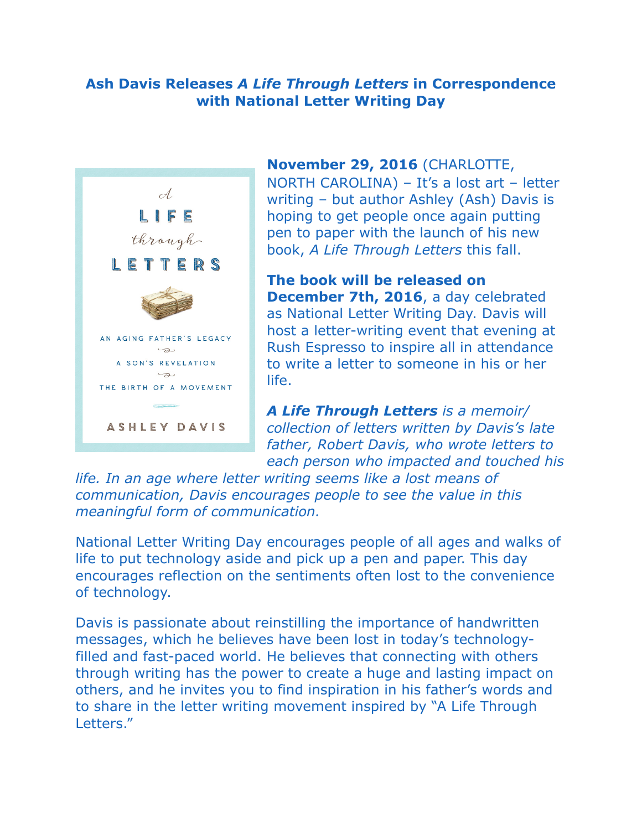## **Ash Davis Releases** *A Life Through Letters* **in Correspondence with National Letter Writing Day**



## **November 29, 2016** (CHARLOTTE,

NORTH CAROLINA) – It's a lost art – letter writing – but author Ashley (Ash) Davis is hoping to get people once again putting pen to paper with the launch of his new book, *A Life Through Letters* this fall.

**The book will be released on December 7th, 2016**, a day celebrated as National Letter Writing Day. Davis will host a letter-writing event that evening at Rush Espresso to inspire all in attendance to write a letter to someone in his or her life.

*A Life Through Letters is a memoir/ collection of letters written by Davis's late father, Robert Davis, who wrote letters to each person who impacted and touched his* 

*life. In an age where letter writing seems like a lost means of communication, Davis encourages people to see the value in this meaningful form of communication.*

National Letter Writing Day encourages people of all ages and walks of life to put technology aside and pick up a pen and paper. This day encourages reflection on the sentiments often lost to the convenience of technology.

Davis is passionate about reinstilling the importance of handwritten messages, which he believes have been lost in today's technologyfilled and fast-paced world. He believes that connecting with others through writing has the power to create a huge and lasting impact on others, and he invites you to find inspiration in his father's words and to share in the letter writing movement inspired by "A Life Through Letters."